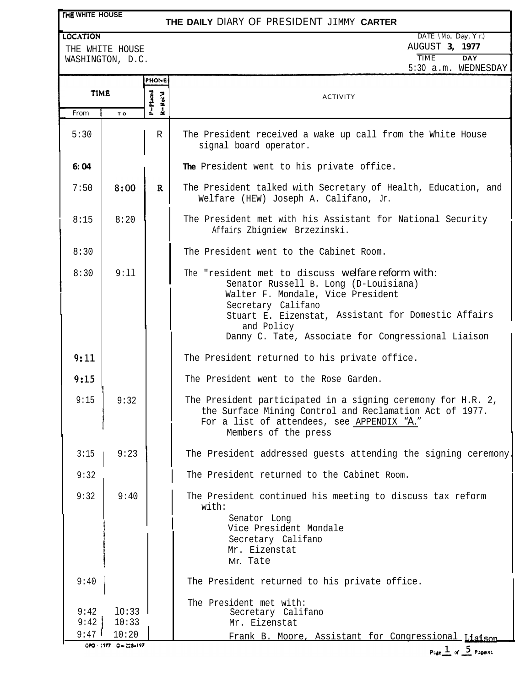# **THE WHITE HOUSE**

# **THE DAILY** DIARY OF PRESIDENT JIMMY **CARTER**

WASHINGTON, D.C.

**LOCATION** DATE \Mo.. Day, Y r.) THE WHITE HOUSE **1977**<br>
WASHINGTON D C

|                      | $M$ AJIILINJIUN, D.C.   |                     | 5:30 a.m. WEDNESDAY                                                                                                                                                                                                                                                              |
|----------------------|-------------------------|---------------------|----------------------------------------------------------------------------------------------------------------------------------------------------------------------------------------------------------------------------------------------------------------------------------|
|                      |                         | PHONE               |                                                                                                                                                                                                                                                                                  |
| <b>TIME</b>          |                         | P=Pluced<br>R-Rec'd | <b>ACTIVITY</b>                                                                                                                                                                                                                                                                  |
| From                 | T O                     |                     |                                                                                                                                                                                                                                                                                  |
| 5:30                 |                         | R                   | The President received a wake up call from the White House<br>signal board operator.                                                                                                                                                                                             |
| 6:04                 |                         |                     | The President went to his private office.                                                                                                                                                                                                                                        |
| 7:50                 | 8:00                    | $\mathbf{R}$        | The President talked with Secretary of Health, Education, and<br>Welfare (HEW) Joseph A. Califano, Jr.                                                                                                                                                                           |
| 8:15                 | 8:20                    |                     | The President met with his Assistant for National Security<br>Affairs Zbigniew Brzezinski.                                                                                                                                                                                       |
| 8:30                 |                         |                     | The President went to the Cabinet Room.                                                                                                                                                                                                                                          |
| 8:30                 | 9:11                    |                     | The "resident met to discuss welfare reform with:<br>Senator Russell B. Long (D-Louisiana)<br>Walter F. Mondale, Vice President<br>Secretary Califano<br>Stuart E. Eizenstat, Assistant for Domestic Affairs<br>and Policy<br>Danny C. Tate, Associate for Congressional Liaison |
| 9:11                 |                         |                     | The President returned to his private office.                                                                                                                                                                                                                                    |
| 9:15                 |                         |                     | The President went to the Rose Garden.                                                                                                                                                                                                                                           |
| 9:15                 | 9:32                    |                     | The President participated in a signing ceremony for H.R. 2,<br>the Surface Mining Control and Reclamation Act of 1977.<br>For a list of attendees, see APPENDIX "A."<br>Members of the press                                                                                    |
| 3:15                 | 9:23                    |                     | The President addressed guests attending the signing ceremony.                                                                                                                                                                                                                   |
| 9:32                 |                         |                     | The President returned to the Cabinet Room.                                                                                                                                                                                                                                      |
| 9:32                 | 9:40                    |                     | The President continued his meeting to discuss tax reform<br>with:<br>Senator Long<br>Vice President Mondale<br>Secretary Califano<br>Mr. Eizenstat<br>Mr. Tate                                                                                                                  |
| 9:40                 |                         |                     | The President returned to his private office.                                                                                                                                                                                                                                    |
| 9:42<br>9:42<br>9:47 | 10:33<br>10:33<br>10:20 |                     | The President met with:<br>Secretary Califano<br>Mr. Eizenstat<br>Frank B. Moore, Assistant for Congressional Liaison                                                                                                                                                            |
|                      | $0 - 224 - 197$         |                     |                                                                                                                                                                                                                                                                                  |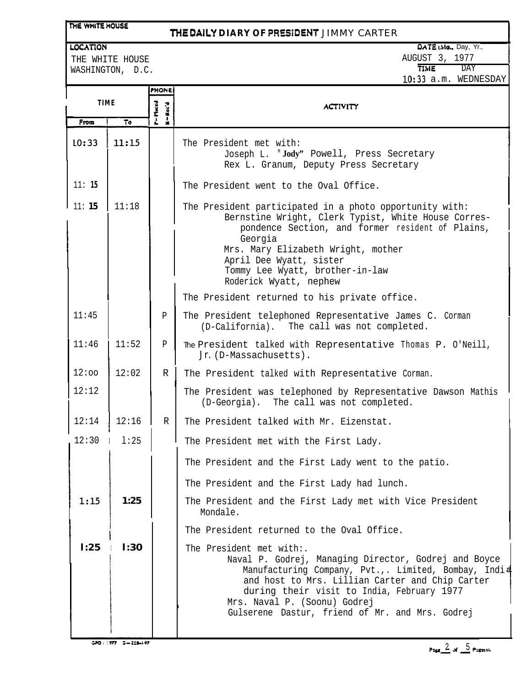# THE WHITE HOUSE

# **'WE DALY DIARY OF PRESiOENT** JIMMY CARTER

#### LOCATION

THE WHITE HOUSE

# $DATA$  (Mo., Day, Yr., AUGUST 3, 1977<br>TIME DAY

**TIME** lo:33 a.m. WEDNESDAY

WASHINGTON, D.C.

|             |       | <b>PHONE</b>         |                                                                                                                                                                                                                                                                                                                              |  |  |  |
|-------------|-------|----------------------|------------------------------------------------------------------------------------------------------------------------------------------------------------------------------------------------------------------------------------------------------------------------------------------------------------------------------|--|--|--|
| <b>TIME</b> |       | P - Maced<br>M-Nec'd | <b>ACTIVITY</b>                                                                                                                                                                                                                                                                                                              |  |  |  |
| From        | To    |                      |                                                                                                                                                                                                                                                                                                                              |  |  |  |
| 10:33       | 11:15 |                      | The President met with:<br>Joseph L. "Jody" Powell, Press Secretary<br>Rex L. Granum, Deputy Press Secretary                                                                                                                                                                                                                 |  |  |  |
| 11:15       |       |                      | The President went to the Oval Office.                                                                                                                                                                                                                                                                                       |  |  |  |
| 11:15       | 11:18 |                      | The President participated in a photo opportunity with:<br>Bernstine Wright, Clerk Typist, White House Corres-<br>pondence Section, and former resident of Plains,<br>Georgia<br>Mrs. Mary Elizabeth Wright, mother<br>April Dee Wyatt, sister<br>Tommy Lee Wyatt, brother-in-law<br>Roderick Wyatt, nephew                  |  |  |  |
|             |       |                      | The President returned to his private office.                                                                                                                                                                                                                                                                                |  |  |  |
| 11:45       |       | Ρ                    | The President telephoned Representative James C. Corman<br>(D-California). The call was not completed.                                                                                                                                                                                                                       |  |  |  |
| 11:46       | 11:52 | P                    | The President talked with Representative Thomas P. O'Neill,<br>Jr. (D-Massachusetts).                                                                                                                                                                                                                                        |  |  |  |
| 12:00       | 12:02 | $\mathbb{R}$         | The President talked with Representative Corman.                                                                                                                                                                                                                                                                             |  |  |  |
| 12:12       |       |                      | The President was telephoned by Representative Dawson Mathis<br>(D-Georgia). The call was not completed.                                                                                                                                                                                                                     |  |  |  |
| 12:14       | 12:16 | R                    | The President talked with Mr. Eizenstat.                                                                                                                                                                                                                                                                                     |  |  |  |
| 12:30       | 1:25  |                      | The President met with the First Lady.                                                                                                                                                                                                                                                                                       |  |  |  |
|             |       |                      | The President and the First Lady went to the patio.                                                                                                                                                                                                                                                                          |  |  |  |
|             |       |                      | The President and the First Lady had lunch.                                                                                                                                                                                                                                                                                  |  |  |  |
| 1:15        | 1:25  |                      | The President and the First Lady met with Vice President<br>Mondale.                                                                                                                                                                                                                                                         |  |  |  |
|             |       |                      | The President returned to the Oval Office.                                                                                                                                                                                                                                                                                   |  |  |  |
| 1:25        | 1:30  |                      | The President met with:.<br>Naval P. Godrej, Managing Director, Godrej and Boyce<br>Manufacturing Company, Pvt.,. Limited, Bombay, India<br>and host to Mrs. Lillian Carter and Chip Carter<br>during their visit to India, February 1977<br>Mrs. Naval P. (Soonu) Godrej<br>Gulserene Dastur, friend of Mr. and Mrs. Godrej |  |  |  |
|             |       |                      |                                                                                                                                                                                                                                                                                                                              |  |  |  |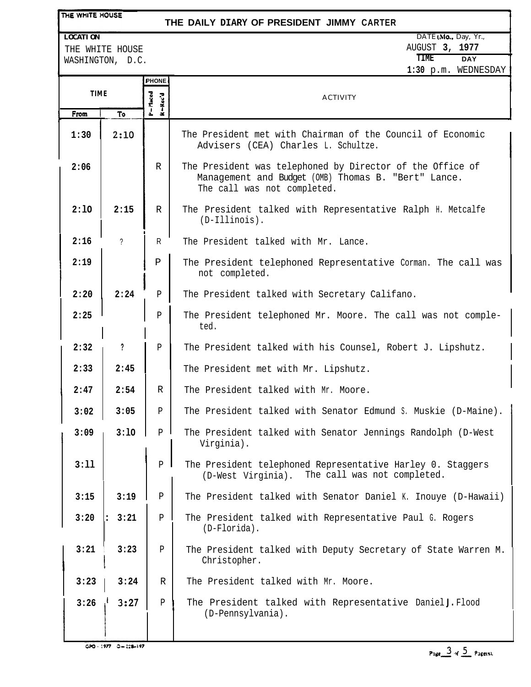#### THE WHITE HOUSE

# **THE DAILY DIARY OF PRESIDENT JIMMY CARTER**

### **LOCATION**

THE WHITE HOUSE WASHINGTON, D.C.

|                | DATE (Mo., Day, Yr., |
|----------------|----------------------|
| AUGUST 3, 1977 |                      |
| TTMF.          | DAY                  |

**1:30** p.m. WEDNESDAY

|             |        | <b>PHONE</b>              | די המהוא יווי את יווי א                                                                                                                         |  |  |
|-------------|--------|---------------------------|-------------------------------------------------------------------------------------------------------------------------------------------------|--|--|
| <b>TIME</b> |        |                           |                                                                                                                                                 |  |  |
|             |        | <b>P=Maced</b><br>R-Rec'd | <b>ACTIVITY</b>                                                                                                                                 |  |  |
| From        | To     |                           |                                                                                                                                                 |  |  |
| 1:30        | 2:10   |                           | The President met with Chairman of the Council of Economic<br>Advisers (CEA) Charles L. Schultze.                                               |  |  |
| 2:06        |        | R                         | The President was telephoned by Director of the Office of<br>Management and Budget (OMB) Thomas B. "Bert" Lance.<br>The call was not completed. |  |  |
| 2:10        | 2:15   | R                         | The President talked with Representative Ralph H. Metcalfe<br>$(D-IIIinois)$ .                                                                  |  |  |
| 2:16        | ?      | R                         | The President talked with Mr. Lance.                                                                                                            |  |  |
| 2:19        |        | $\mathbf P$               | The President telephoned Representative Corman. The call was<br>not completed.                                                                  |  |  |
| 2:20        | 2:24   | Р                         | The President talked with Secretary Califano.                                                                                                   |  |  |
| 2:25        |        | P                         | The President telephoned Mr. Moore. The call was not comple-<br>ted.                                                                            |  |  |
| 2:32        | ?      | P                         | The President talked with his Counsel, Robert J. Lipshutz.                                                                                      |  |  |
| 2:33        | 2:45   |                           | The President met with Mr. Lipshutz.                                                                                                            |  |  |
| 2:47        | 2:54   | $\mathbb{R}$              | The President talked with Mr. Moore.                                                                                                            |  |  |
| 3:02        | 3:05   | P                         | The President talked with Senator Edmund S. Muskie (D-Maine).                                                                                   |  |  |
| 3:09        | 3:10   | P                         | The President talked with Senator Jennings Randolph (D-West<br>Virginia).                                                                       |  |  |
| 3:11        |        | $P$                       | The President telephoned Representative Harley 0. Staggers<br>(D-West Virginia). The call was not completed.                                    |  |  |
| 3:15        | 3:19   | P                         | The President talked with Senator Daniel K. Inouye (D-Hawaii)                                                                                   |  |  |
| 3:20        | : 3:21 | $\mathbf{P}$              | The President talked with Representative Paul G. Rogers<br>(D-Florida).                                                                         |  |  |
| 3:21        | 3:23   | Ρ                         | The President talked with Deputy Secretary of State Warren M.<br>Christopher.                                                                   |  |  |
| 3:23        | 3:24   | R                         | The President talked with Mr. Moore.                                                                                                            |  |  |
| 3:26        | 3:27   | $\mathbf{P}$              | The President talked with Representative Daniel J. Flood<br>(D-Pennsylvania).                                                                   |  |  |

 $G70.1977 - 0 - 228 - 197$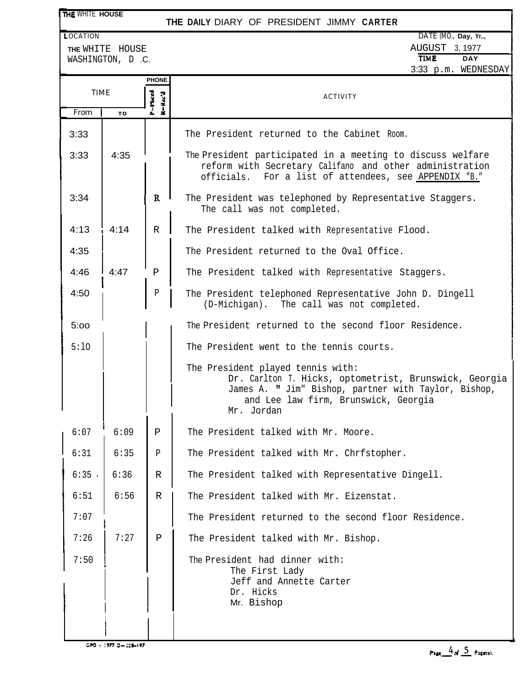| THE WHITE HOUSE |                                     |                    | THE DAILY DIARY OF PRESIDENT JIMMY CARTER                                                                                                                                                                |  |  |  |
|-----------------|-------------------------------------|--------------------|----------------------------------------------------------------------------------------------------------------------------------------------------------------------------------------------------------|--|--|--|
| <b>LOCATION</b> |                                     |                    | DATE (MO., Day, Yr,                                                                                                                                                                                      |  |  |  |
|                 | THE WHITE HOUSE<br>WASHINGTON, D.C. |                    | AUGUST 3, 1977<br><b>TIME</b><br><b>DAY</b>                                                                                                                                                              |  |  |  |
|                 |                                     | <b>PHONE</b>       | 3:33 p.m. WEDNESDAY                                                                                                                                                                                      |  |  |  |
| <b>TIME</b>     |                                     | P-Phoed<br>R-Rec'd | <b>ACTIVITY</b>                                                                                                                                                                                          |  |  |  |
| From            | TO                                  |                    |                                                                                                                                                                                                          |  |  |  |
| 3:33            |                                     |                    | The President returned to the Cabinet Room.                                                                                                                                                              |  |  |  |
| 3:33            | 4:35                                |                    | The President participated in a meeting to discuss welfare<br>reform with Secretary Califano and other administration<br>For a list of attendees, see APPENDIX "B."<br>officials.                        |  |  |  |
| 3:34            |                                     | $\mathbb{R}$       | The President was telephoned by Representative Staggers.<br>The call was not completed.                                                                                                                  |  |  |  |
| 4:13            | 4:14                                | $\mathbb{R}$       | The President talked with Representative Flood.                                                                                                                                                          |  |  |  |
| 4:35            |                                     |                    | The President returned to the Oval Office.                                                                                                                                                               |  |  |  |
| 4:46            | 4:47                                | $\mathbf{P}$       | The President talked with Representative Staggers.                                                                                                                                                       |  |  |  |
| 4:50            |                                     | Ρ                  | The President telephoned Representative John D. Dingell<br>(D-Michigan). The call was not completed.                                                                                                     |  |  |  |
| 5:00            |                                     |                    | The President returned to the second floor Residence.                                                                                                                                                    |  |  |  |
| 5:10            |                                     |                    | The President went to the tennis courts.                                                                                                                                                                 |  |  |  |
|                 |                                     |                    | The President played tennis with:<br>Dr. Carlton T. Hicks, optometrist, Brunswick, Georgia<br>James A. " Jim" Bishop, partner with Taylor, Bishop,<br>and Lee law firm, Brunswick, Georgia<br>Mr. Jordan |  |  |  |
| 6:07            | 6:09                                | $\, {\bf P}$       | The President talked with Mr. Moore.                                                                                                                                                                     |  |  |  |
| 6:31            | 6:35                                | Ρ                  | The President talked with Mr. Chrfstopher.                                                                                                                                                               |  |  |  |
| 6:35            | 6:36                                | R                  | The President talked with Representative Dingell.                                                                                                                                                        |  |  |  |
| 6:51            | 6:56                                | R                  | The President talked with Mr. Eizenstat.                                                                                                                                                                 |  |  |  |
| 7:07            |                                     |                    | The President returned to the second floor Residence.                                                                                                                                                    |  |  |  |
| 7:26            | 7:27                                | $\, {\bf P}$       | The President talked with Mr. Bishop.                                                                                                                                                                    |  |  |  |
| 7:50            |                                     |                    | The President had dinner with:<br>The First Lady<br>Jeff and Annette Carter<br>Dr. Hicks<br>Mr. Bishop                                                                                                   |  |  |  |
|                 |                                     |                    |                                                                                                                                                                                                          |  |  |  |